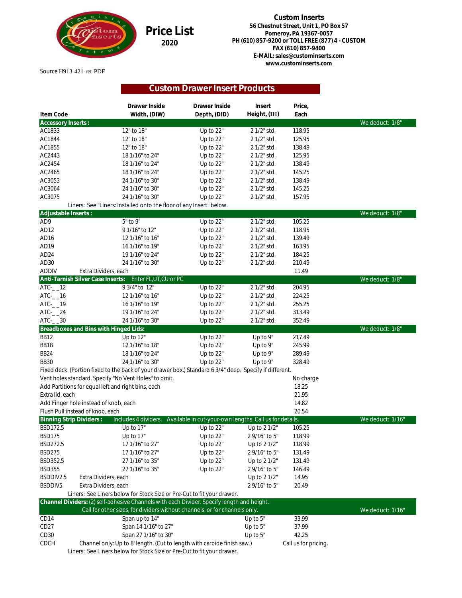

**Price List 2020**

**Custom Inserts 56 Chestnut Street, Unit 1, PO Box 57 Pomeroy, PA 19367-0057 PH (610) 857-9200 or TOLL FREE (877) 4 - CUSTOM FAX (610) 857-9400 E-MAIL: sales@custominserts.com www.custominserts.com**

## Source H913-421-ret-PDF

## **Custom Drawer Insert Products**

|                                | Drawer Inside                                                                                          | Drawer Inside                                           | Insert        | Price,              |                  |
|--------------------------------|--------------------------------------------------------------------------------------------------------|---------------------------------------------------------|---------------|---------------------|------------------|
| Item Code                      | Width, (DIW)                                                                                           | Depth, (DID)                                            | Height, (IH)  | Each                |                  |
| Accessory Inserts:             |                                                                                                        |                                                         |               |                     | We deduct: 1/8"  |
| AC1833                         | 12" to 18"                                                                                             | Up to 22"                                               | 2 1/2" std.   | 118.95              |                  |
| AC1844                         | 12" to 18"                                                                                             | Up to 22"                                               | 2 1/2" std.   | 125.95              |                  |
| AC1855                         | 12" to 18"                                                                                             | Up to 22"                                               | 2 1/2" std.   | 138.49              |                  |
| AC2443                         | 18 1/16" to 24"                                                                                        | Up to 22"                                               | 2 1/2" std.   | 125.95              |                  |
| AC2454                         | 18 1/16" to 24"                                                                                        | Up to 22"                                               | 2 1/2" std.   | 138.49              |                  |
| AC2465                         | 18 1/16" to 24"                                                                                        | Up to 22"                                               | 2 1/2" std.   | 145.25              |                  |
| AC3053                         | 24 1/16" to 30"                                                                                        | Up to 22"                                               | 2 1/2" std.   | 138.49              |                  |
| AC3064                         | 24 1/16" to 30"                                                                                        | Up to 22"                                               | 2 1/2" std.   | 145.25              |                  |
| AC3075                         | 24 1/16" to 30"                                                                                        | Up to 22"                                               | 2 1/2" std.   | 157.95              |                  |
|                                | Liners: See "Liners: Installed onto the floor of any Insert" below.                                    |                                                         |               |                     |                  |
| Adjustable Inserts:            |                                                                                                        |                                                         |               |                     | We deduct: 1/8"  |
| AD <sub>9</sub>                | 5" to 9"                                                                                               | Up to 22"                                               | 2 1/2" std.   | 105.25              |                  |
| AD12                           | 91/16" to 12"                                                                                          | Up to 22"                                               | 2 1/2" std.   | 118.95              |                  |
| AD <sub>16</sub>               | 12 1/16" to 16"                                                                                        | Up to 22"                                               | 2 1/2" std.   | 139.49              |                  |
| AD19                           | 16 1/16" to 19"                                                                                        | Up to 22"                                               | 2 1/2" std.   | 163.95              |                  |
| AD24                           | 19 1/16" to 24"                                                                                        | Up to 22"                                               | 2 1/2" std.   | 184.25              |                  |
| AD <sub>30</sub>               | 24 1/16" to 30"                                                                                        | Up to 22"                                               | 2 1/2" std.   | 210.49              |                  |
| <b>ADDIV</b>                   | Extra Dividers, each                                                                                   |                                                         |               | 11.49               |                  |
|                                | Anti-Tarnish Silver Case Inserts:<br>Enter FL, UT, CU or PC                                            |                                                         |               |                     | We deduct: 1/8"  |
| $\overline{ATC}$ -_12          | 9 3/4" to 12"                                                                                          | Up to 22"                                               | 2 1/2" std.   | 204.95              |                  |
| $\textrm{ATC}$ - $\_16$        | 12 1/16" to 16"                                                                                        | Up to 22"                                               | 2 1/2" std.   | 224.25              |                  |
| $\textrm{ATC}$ - $\_19$        | 16 1/16" to 19"                                                                                        | Up to 22"                                               | 2 1/2" std.   | 255.25              |                  |
| $\textrm{ATC}$ -_24            | 19 1/16" to 24"                                                                                        | Up to 22"                                               | 2 1/2" std.   | 313.49              |                  |
| $\textrm{ATC}$ - $\_30$        | 24 1/16" to 30"                                                                                        | Up to 22"                                               | 2 1/2" std.   | 352.49              |                  |
|                                | Breadboxes and Bins with Hinged Lids:                                                                  |                                                         |               |                     | We deduct: 1/8"  |
| <b>BB12</b>                    | Up to 12"                                                                                              | Up to 22"                                               | Up to 9"      | 217.49              |                  |
| BB18                           | 12 1/16" to 18"                                                                                        | Up to 22"                                               | Up to 9"      | 245.99              |                  |
| <b>BB24</b>                    | 18 1/16" to 24"                                                                                        | Up to 22"                                               | Up to 9"      | 289.49              |                  |
| <b>BB30</b>                    | 24 1/16" to 30"                                                                                        | Up to 22"                                               | Up to 9"      | 328.49              |                  |
|                                | Fixed deck (Portion fixed to the back of your drawer box.) Standard 6 3/4" deep. Specify if different. |                                                         |               |                     |                  |
|                                | Vent holes standard. Specify "No Vent Holes" to omit.                                                  |                                                         |               | No charge           |                  |
|                                | Add Partitions for equal left and right bins, each                                                     |                                                         |               | 18.25               |                  |
| Extra lid, each                |                                                                                                        |                                                         |               | 21.95               |                  |
|                                | Add Finger hole instead of knob, each                                                                  |                                                         |               | 14.82               |                  |
|                                | Flush Pull instead of knob, each                                                                       |                                                         |               | 20.54               |                  |
| <b>Binning Strip Dividers:</b> | Includes 4 dividers.                                                                                   | Available in cut-your-own lengths. Call us for details. |               |                     | We deduct: 1/16" |
| BSD172.5                       | Up to 17"                                                                                              | Up to 22"                                               | Up to 2 1/2"  | 105.25              |                  |
| <b>BSD175</b>                  | Up to 17"                                                                                              | Up to 22"                                               | 2 9/16" to 5" | 118.99              |                  |
| BSD272.5                       | 17 1/16" to 27"                                                                                        | Up to 22"                                               | Up to 2 1/2"  | 118.99              |                  |
| <b>BSD275</b>                  | 17 1/16" to 27"                                                                                        | Up to 22"                                               | 2 9/16" to 5" | 131.49              |                  |
| BSD352.5                       | 27 1/16" to 35"                                                                                        | Up to 22"                                               | Up to 2 1/2"  | 131.49              |                  |
| <b>BSD355</b>                  | 27 1/16" to 35"                                                                                        | Up to 22"                                               | 2 9/16" to 5" | 146.49              |                  |
| BSDDIV2.5                      | Extra Dividers, each                                                                                   |                                                         | Up to 2 1/2"  | 14.95               |                  |
| BSDDIV5                        | Extra Dividers, each                                                                                   |                                                         | 2 9/16" to 5" | 20.49               |                  |
|                                | Liners: See Liners below for Stock Size or Pre-Cut to fit your drawer.                                 |                                                         |               |                     |                  |
|                                | Channel Dividers: (2) self-adhesive Channels with each Divider. Specify length and height.             |                                                         |               |                     |                  |
|                                | Call for other sizes, for dividers without channels, or for channels only.                             |                                                         |               |                     | We deduct: 1/16" |
| CD14                           | Span up to 14"                                                                                         |                                                         | Up to 5"      | 33.99               |                  |
| CD <sub>27</sub>               | Span 14 1/16" to 27"                                                                                   |                                                         | Up to $5"$    | 37.99               |                  |
| CD <sub>30</sub>               | Span 27 1/16" to 30"                                                                                   |                                                         | Up to 5"      | 42.25               |                  |
| CDCH                           | Channel only: Up to 8' length. (Cut to length with carbide finish saw.)                                |                                                         |               | Call us for pricing |                  |

Liners: See Liners below for Stock Size or Pre-Cut to fit your drawer.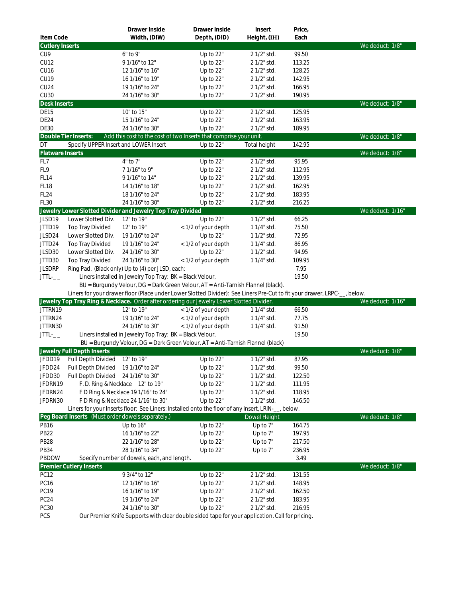|                               |                                                   | Drawer Inside                                                            | Drawer Inside                                                                                                           | Insert                     | Price,           |                  |
|-------------------------------|---------------------------------------------------|--------------------------------------------------------------------------|-------------------------------------------------------------------------------------------------------------------------|----------------------------|------------------|------------------|
| Item Code                     |                                                   | Width, (DIW)                                                             | Depth, (DID)                                                                                                            | Height, (IH)               | Each             | We deduct: 1/8"  |
| <b>Cutlery Inserts</b><br>CU9 |                                                   | $6"$ to $9"$                                                             | Up to 22"                                                                                                               | 2 1/2" std.                | 99.50            |                  |
| CU12                          |                                                   | 91/16" to 12"                                                            | Up to 22"                                                                                                               | 2 1/2" std.                | 113.25           |                  |
| CU16                          |                                                   | 12 1/16" to 16"                                                          | Up to 22"                                                                                                               | 2 1/2" std.                | 128.25           |                  |
| CU19                          |                                                   | 16 1/16" to 19"                                                          | Up to 22"                                                                                                               | 2 1/2" std.                | 142.95           |                  |
| CU24                          |                                                   | 19 1/16" to 24"                                                          | Up to 22"                                                                                                               | 2 1/2" std.                | 166.95           |                  |
| CU30                          |                                                   | 24 1/16" to 30"                                                          | Up to 22"                                                                                                               | 2 1/2" std.                | 190.95           |                  |
| Desk Inserts                  |                                                   |                                                                          |                                                                                                                         |                            |                  | We deduct: 1/8"  |
| DE15                          |                                                   | 10" to 15"                                                               | Up to 22"                                                                                                               | 2 1/2" std.                | 125.95           |                  |
| DE24                          |                                                   | 15 1/16" to 24"                                                          | Up to 22"                                                                                                               | 2 1/2" std.                | 163.95           |                  |
| <b>DE30</b>                   |                                                   | 24 1/16" to 30"                                                          | Up to 22"                                                                                                               | 2 1/2" std.                | 189.95           |                  |
|                               | Double Tier Inserts:                              |                                                                          | Add this cost to the cost of two Inserts that comprise your unit.                                                       |                            |                  | We deduct: 1/8"  |
| DT                            | Specify UPPER Insert and LOWER Insert             |                                                                          | Up to 22"                                                                                                               | Total height               | 142.95           |                  |
| Flatware Inserts              |                                                   |                                                                          |                                                                                                                         |                            |                  | We deduct: 1/8"  |
| FL7                           |                                                   | $4"$ to $7"$                                                             | Up to 22"                                                                                                               | 2 1/2" std.                | 95.95            |                  |
| FL9                           |                                                   | 71/16" to 9"                                                             | Up to 22"                                                                                                               | 2 1/2" std.                | 112.95           |                  |
| FL <sub>14</sub>              |                                                   | 91/16" to 14"                                                            | Up to 22"                                                                                                               | 2 1/2" std.                | 139.95           |                  |
| <b>FL18</b>                   |                                                   | 14 1/16" to 18"                                                          | Up to 22"                                                                                                               | 2 1/2" std.                | 162.95           |                  |
| FL <sub>24</sub>              |                                                   | 18 1/16" to 24"                                                          | Up to 22"                                                                                                               | 2 1/2" std.                | 183.95           |                  |
| FL30                          |                                                   | 24 1/16" to 30"                                                          | Up to 22"                                                                                                               | 2 1/2" std.                | 216.25           | We deduct: 1/16" |
| JLSD19                        | Lower Slotted Div.                                | Jewelry Lower Slotted Divider and Jewelry Top Tray Divided<br>12" to 19" | Up to 22"                                                                                                               | 1 1/2" std.                | 66.25            |                  |
| JTTD19                        | Top Tray Divided                                  | 12" to 19"                                                               | < 1/2 of your depth                                                                                                     | 1 1/4" std.                | 75.50            |                  |
| JLSD24                        | Lower Slotted Div.                                | 19 1/16" to 24"                                                          | Up to 22"                                                                                                               | 1 1/2" std.                | 72.95            |                  |
| JTTD24                        | <b>Top Tray Divided</b>                           | 19 1/16" to 24"                                                          | < 1/2 of your depth                                                                                                     | 1 1/4" std.                | 86.95            |                  |
| JLSD30                        | Lower Slotted Div.                                | 24 1/16" to 30"                                                          | Up to 22"                                                                                                               | 1 1/2" std.                | 94.95            |                  |
| JTTD30                        | Top Tray Divided                                  | 24 1/16" to 30"                                                          | < 1/2 of your depth                                                                                                     | 1 1/4" std.                | 109.95           |                  |
| <b>JLSDRP</b>                 |                                                   | Ring Pad. (Black only) Up to (4) per JLSD, each:                         |                                                                                                                         |                            | 7.95             |                  |
| $JTL_{--}$                    |                                                   | Liners installed in Jewelry Top Tray: BK = Black Velour,                 |                                                                                                                         |                            | 19.50            |                  |
|                               |                                                   |                                                                          | BU = Burgundy Velour, DG = Dark Green Velour, AT = Anti-Tarnish Flannel (black).                                        |                            |                  |                  |
|                               |                                                   |                                                                          | Liners for your drawer floor (Place under Lower Slotted Divider): See Liners Pre-Cut to fit your drawer, LRPC-_, below. |                            |                  |                  |
|                               |                                                   |                                                                          | Jewelry Top Tray Ring & Necklace. Order after ordering our Jewelry Lower Slotted Divider.                               |                            |                  | We deduct: 1/16" |
| JTTRN19                       |                                                   | 12" to 19"                                                               | < 1/2 of your depth                                                                                                     | 1 1/4" std.                | 66.50            |                  |
| JTTRN24                       |                                                   | 19 1/16" to 24"                                                          | < 1/2 of your depth                                                                                                     | 1 1/4" std.                | 77.75            |                  |
| JTTRN30                       |                                                   | 24 1/16" to 30"                                                          | < 1/2 of your depth                                                                                                     | 1 1/4" std.                | 91.50            |                  |
| $JTL-$                        |                                                   | Liners installed in Jewelry Top Tray: BK = Black Velour,                 |                                                                                                                         |                            | 19.50            |                  |
|                               |                                                   |                                                                          | BU = Burgundy Velour, DG = Dark Green Velour, AT = Anti-Tarnish Flannel (black)                                         |                            |                  |                  |
|                               | Jewelry Full Depth Inserts                        |                                                                          |                                                                                                                         |                            |                  | We deduct: 1/8"  |
| JFDD19                        | Full Depth Divided 12" to 19"                     |                                                                          | Up to 22"                                                                                                               | 1 1/2" std.                | 87.95            |                  |
| JFDD24                        | Full Depth Divided                                | 19 1/16" to 24"                                                          | Up to 22"                                                                                                               | $11/2$ " std.              | 99.50            |                  |
| JFDD30                        | Full Depth Divided 24 1/16" to 30"                |                                                                          | Up to 22"                                                                                                               | 1 1/2" std.                | 122.50           |                  |
| JFDRN19<br>JFDRN24            |                                                   | F.D. Ring & Necklace 12" to 19"<br>F D Ring & Necklace 19 1/16" to 24"   | Up to 22"                                                                                                               | 1 1/2" std.                | 111.95<br>118.95 |                  |
| JFDRN30                       |                                                   |                                                                          | Up to 22"<br>Up to 22"                                                                                                  | 1 1/2" std.<br>1 1/2" std. | 146.50           |                  |
|                               |                                                   | F D Ring & Necklace 24 1/16" to 30"                                      | Liners for your Inserts floor: See Liners: Installed onto the floor of any Insert, LRIN-_, below.                       |                            |                  |                  |
|                               | Peg Board Inserts (Must order dowels separately.) |                                                                          |                                                                                                                         | Dowel Height               |                  | We deduct: 1/8"  |
| PB <sub>16</sub>              |                                                   | Up to 16"                                                                | Up to 22"                                                                                                               | Up to 7"                   | 164.75           |                  |
| PB22                          |                                                   | 16 1/16" to 22"                                                          | Up to 22"                                                                                                               | Up to 7"                   | 197.95           |                  |
| <b>PB28</b>                   |                                                   | 22 1/16" to 28"                                                          | Up to 22"                                                                                                               | Up to 7"                   | 217.50           |                  |
| PB34                          |                                                   | 28 1/16" to 34"                                                          | Up to 22"                                                                                                               | Up to $7"$                 | 236.95           |                  |
| PBDOW                         |                                                   | Specify number of dowels, each, and length.                              |                                                                                                                         |                            | 3.49             |                  |
|                               | Premier Cutlery Inserts                           |                                                                          |                                                                                                                         |                            |                  | We deduct: 1/8"  |
| PC <sub>12</sub>              |                                                   | 9 3/4" to 12"                                                            | Up to 22"                                                                                                               | 2 1/2" std.                | 131.55           |                  |
| PC16                          |                                                   | 12 1/16" to 16"                                                          | Up to 22"                                                                                                               | 2 1/2" std.                | 148.95           |                  |
| PC19                          |                                                   | 16 1/16" to 19"                                                          | Up to 22"                                                                                                               | 2 1/2" std.                | 162.50           |                  |
| PC <sub>24</sub>              |                                                   | 19 1/16" to 24"                                                          | Up to 22"                                                                                                               | 2 1/2" std.                | 183.95           |                  |
| <b>PC30</b>                   |                                                   | 24 1/16" to 30"                                                          | Up to 22"                                                                                                               | 2 1/2" std.                | 216.95           |                  |
| PCS                           |                                                   |                                                                          | Our Premier Knife Supports with clear double sided tape for your application. Call for pricing.                         |                            |                  |                  |
|                               |                                                   |                                                                          |                                                                                                                         |                            |                  |                  |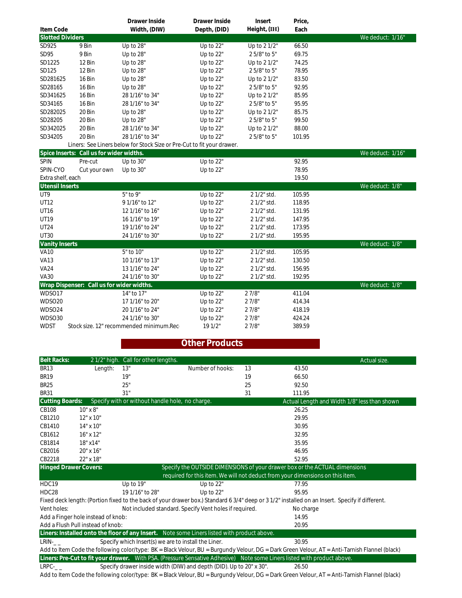|                         |                                           | Drawer Inside                                                          | Drawer Inside | Insert       | Price, |                  |
|-------------------------|-------------------------------------------|------------------------------------------------------------------------|---------------|--------------|--------|------------------|
| Item Code               |                                           | Width, (DIW)                                                           | Depth, (DID)  | Height, (IH) | Each   |                  |
| <b>Slotted Dividers</b> |                                           |                                                                        |               |              |        | We deduct: 1/16" |
| SD925                   | 9 Bin                                     | Up to 28"                                                              | Up to 22"     | Up to 2 1/2" | 66.50  |                  |
| SD95                    | 9 Bin                                     | Up to 28"                                                              | Up to 22"     | 25/8" to 5"  | 69.75  |                  |
| SD1225                  | 12 Bin                                    | Up to 28"                                                              | Up to 22"     | Up to 2 1/2" | 74.25  |                  |
| SD125                   | 12 Bin                                    | Up to 28"                                                              | Up to 22"     | 25/8" to 5"  | 78.95  |                  |
| SD281625                | 16 Bin                                    | Up to 28"                                                              | Up to 22"     | Up to 2 1/2" | 83.50  |                  |
| SD28165                 | 16 Bin                                    | Up to 28"                                                              | Up to 22"     | 25/8" to 5"  | 92.95  |                  |
| SD341625                | 16 Bin                                    | 28 1/16" to 34"                                                        | Up to 22"     | Up to 2 1/2" | 85.95  |                  |
| SD34165                 | 16 Bin                                    | 28 1/16" to 34"                                                        | Up to 22"     | 25/8" to 5"  | 95.95  |                  |
| SD282025                | 20 Bin                                    | Up to 28"                                                              | Up to 22"     | Up to 2 1/2" | 85.75  |                  |
| SD28205                 | 20 Bin                                    | Up to 28"                                                              | Up to 22"     | 25/8" to 5"  | 99.50  |                  |
| SD342025                | 20 Bin                                    | 28 1/16" to 34"                                                        | Up to 22"     | Up to 2 1/2" | 88.00  |                  |
| SD34205                 | 20 Bin                                    | 28 1/16" to 34"                                                        | Up to 22"     | 25/8" to 5"  | 101.95 |                  |
|                         |                                           | Liners: See Liners below for Stock Size or Pre-Cut to fit your drawer. |               |              |        |                  |
|                         | Spice Inserts: Call us for wider widths.  |                                                                        |               |              |        | We deduct: 1/16" |
| SPIN                    | Pre-cut                                   | Up to 30"                                                              | Up to 22"     |              | 92.95  |                  |
| SPIN-CYO                | Cut your own                              | Up to 30"                                                              | Up to 22"     |              | 78.95  |                  |
| Extra shelf, each       |                                           |                                                                        |               |              | 19.50  |                  |
| <b>Utensil Inserts</b>  |                                           |                                                                        |               |              |        | We deduct: 1/8"  |
| UT9                     |                                           | 5" to 9"                                                               | Up to 22"     | 2 1/2" std.  | 105.95 |                  |
| UT12                    |                                           | 91/16" to 12"                                                          | Up to 22"     | 2 1/2" std.  | 118.95 |                  |
| <b>UT16</b>             |                                           | 12 1/16" to 16"                                                        | Up to 22"     | 2 1/2" std.  | 131.95 |                  |
| UT19                    |                                           | 16 1/16" to 19"                                                        | Up to 22"     | 2 1/2" std.  | 147.95 |                  |
| UT24                    |                                           | 19 1/16" to 24"                                                        | Up to 22"     | 2 1/2" std.  | 173.95 |                  |
| <b>UT30</b>             |                                           | 24 1/16" to 30"                                                        | Up to 22"     | 2 1/2" std.  | 195.95 |                  |
| Vanity Inserts          |                                           |                                                                        |               |              |        | We deduct: 1/8"  |
| <b>VA10</b>             |                                           | 5" to 10"                                                              | Up to 22"     | 2 1/2" std.  | 105.95 |                  |
| <b>VA13</b>             |                                           | 10 1/16" to 13"                                                        | Up to 22"     | 2 1/2" std.  | 130.50 |                  |
| <b>VA24</b>             |                                           | 13 1/16" to 24"                                                        | Up to 22"     | 2 1/2" std.  | 156.95 |                  |
| <b>VA30</b>             |                                           | 24 1/16" to 30"                                                        | Up to 22"     | 2 1/2" std.  | 192.95 |                  |
|                         | Wrap Dispenser: Call us for wider widths. |                                                                        |               |              |        | We deduct: 1/8"  |
| WDSO17                  |                                           | 14" to 17"                                                             | Up to 22"     | 27/8"        | 411.04 |                  |
| WDSO20                  |                                           | 17 1/16" to 20"                                                        | Up to 22"     | 27/8"        | 414.34 |                  |
| WDSO24                  |                                           | 20 1/16" to 24"                                                        | Up to 22"     | 27/8"        | 418.19 |                  |
| WDSO30                  |                                           | 24 1/16" to 30"                                                        | Up to 22"     | 27/8"        | 424.24 |                  |
| <b>WDST</b>             |                                           | Stock size. 12" recommended minimum.Rec                                | 19 1/2"       | 27/8"        | 389.59 |                  |

## **Other Products**

| <b>Belt Racks:</b>                                                                                         |                  | 21/2" high. Call for other lengths.                                                         |                  |    |                                                                                                                                                 | Actual size.                                 |
|------------------------------------------------------------------------------------------------------------|------------------|---------------------------------------------------------------------------------------------|------------------|----|-------------------------------------------------------------------------------------------------------------------------------------------------|----------------------------------------------|
| <b>BR13</b>                                                                                                | Length:          | 13"                                                                                         | Number of hooks: | 13 | 43.50                                                                                                                                           |                                              |
| <b>BR19</b>                                                                                                |                  | 19"                                                                                         |                  | 19 | 66.50                                                                                                                                           |                                              |
| <b>BR25</b>                                                                                                |                  | 25"                                                                                         |                  | 25 | 92.50                                                                                                                                           |                                              |
| <b>BR31</b>                                                                                                |                  | 31"                                                                                         |                  | 31 | 111.95                                                                                                                                          |                                              |
| <b>Cutting Boards:</b>                                                                                     |                  | Specify with or without handle hole, no charge.                                             |                  |    |                                                                                                                                                 | Actual Length and Width 1/8" less than shown |
| <b>CB108</b>                                                                                               | 10" x 8"         |                                                                                             |                  |    | 26.25                                                                                                                                           |                                              |
| CB1210                                                                                                     | $12" \times 10"$ |                                                                                             |                  |    | 29.95                                                                                                                                           |                                              |
| CB1410                                                                                                     | $14" \times 10"$ |                                                                                             |                  |    | 30.95                                                                                                                                           |                                              |
| CB1612                                                                                                     | $16" \times 12"$ |                                                                                             |                  |    | 32.95                                                                                                                                           |                                              |
| CB1814                                                                                                     | 18" x14"         |                                                                                             |                  |    | 35.95                                                                                                                                           |                                              |
| CB2016                                                                                                     | 20" x 16"        |                                                                                             |                  |    | 46.95                                                                                                                                           |                                              |
| CB2218                                                                                                     | 22" x 18"        |                                                                                             |                  |    | 52.95                                                                                                                                           |                                              |
| Specify the OUTSIDE DIMENSIONS of your drawer box or the ACTUAL dimensions<br><b>Hinged Drawer Covers:</b> |                  |                                                                                             |                  |    |                                                                                                                                                 |                                              |
| required for this item. We will not deduct from your dimensions on this item.                              |                  |                                                                                             |                  |    |                                                                                                                                                 |                                              |
| HDC19                                                                                                      |                  | Up to 19"                                                                                   | Up to $22"$      |    | 77.95                                                                                                                                           |                                              |
| HDC28                                                                                                      |                  | 19 1/16" to 28"                                                                             | Up to $22"$      |    | 95.95                                                                                                                                           |                                              |
|                                                                                                            |                  |                                                                                             |                  |    | Fixed deck length: (Portion fixed to the back of your drawer box.) Standard 6 3/4" deep or 3 1/2" installed on an Insert. Specify if different. |                                              |
| Vent holes:                                                                                                |                  | Not included standard. Specify Vent holes if required.                                      |                  |    | No charge                                                                                                                                       |                                              |
| Add a Finger hole instead of knob:                                                                         |                  |                                                                                             |                  |    | 14.95                                                                                                                                           |                                              |
| Add a Flush Pull instead of knob:                                                                          |                  |                                                                                             |                  |    | 20.95                                                                                                                                           |                                              |
|                                                                                                            |                  | Liners: Installed onto the floor of any Insert. Note some Liners listed with product above. |                  |    |                                                                                                                                                 |                                              |
| LRIN-                                                                                                      |                  | Specify which Insert(s) we are to install the Liner.                                        |                  |    | 30.95                                                                                                                                           |                                              |
|                                                                                                            |                  |                                                                                             |                  |    | Add to Item Code the following color/type: BK = Black Velour, BU = Burgundy Velour, DG = Dark Green Velour, AT = Anti-Tarnish Flannel (black)   |                                              |
|                                                                                                            |                  |                                                                                             |                  |    | Liners: Pre-Cut to fit your drawer. With PSA. (Pressure Sensative Adhesive) Note some Liners listed with product above.                         |                                              |
| $LRPC$ - $-$                                                                                               |                  | Specify drawer inside width (DIW) and depth (DID). Up to 20" x 30".                         |                  |    | 26.50                                                                                                                                           |                                              |

Add to Item Code the following color/type: BK = Black Velour, BU = Burgundy Velour, DG = Dark Green Velour, AT = Anti-Tarnish Flannel (black)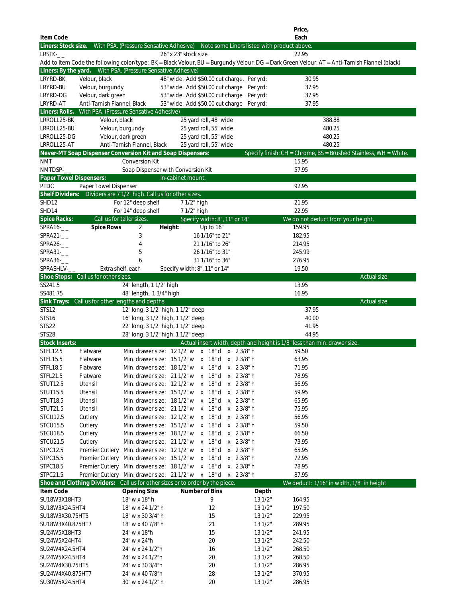|                                          |                                      |                                                                                         |                                                                                                                  |                                             | Price,                                                                                                                                        |              |
|------------------------------------------|--------------------------------------|-----------------------------------------------------------------------------------------|------------------------------------------------------------------------------------------------------------------|---------------------------------------------|-----------------------------------------------------------------------------------------------------------------------------------------------|--------------|
| Item Code<br>Liners: Stock size.         |                                      | With PSA. (Pressure Sensative Adhesive)                                                 |                                                                                                                  | Note some Liners listed with product above. | Each                                                                                                                                          |              |
| $LRSTK-$                                 |                                      |                                                                                         | 26" x 23" stock size                                                                                             |                                             | 22.95                                                                                                                                         |              |
|                                          |                                      |                                                                                         |                                                                                                                  |                                             | Add to Item Code the following color/type: BK = Black Velour, BU = Burgundy Velour, DG = Dark Green Velour, AT = Anti-Tarnish Flannel (black) |              |
|                                          |                                      | Liners: By the yard.  With PSA. (Pressure Sensative Adhesive)                           |                                                                                                                  |                                             |                                                                                                                                               |              |
| LRYRD-BK                                 | Velour, black                        |                                                                                         | 48" wide. Add \$50.00 cut charge. Per yrd:                                                                       |                                             | 30.95                                                                                                                                         |              |
| LRYRD-BU                                 | Velour, burgundy                     |                                                                                         | 53" wide. Add \$50.00 cut charge Per yrd:                                                                        |                                             | 37.95                                                                                                                                         |              |
| LRYRD-DG<br><b>LRYRD-AT</b>              | Velour, dark green                   |                                                                                         | 53" wide. Add \$50.00 cut charge Per yrd:                                                                        |                                             | 37.95                                                                                                                                         |              |
|                                          | Anti-Tarnish Flannel, Black          | Liners: Rolls. With PSA. (Pressure Sensative Adhesive)                                  | 53" wide. Add \$50.00 cut charge Per yrd:                                                                        |                                             | 37.95                                                                                                                                         |              |
| LRROLL25-BK                              | Velour, black                        |                                                                                         | 25 yard roll, 48" wide                                                                                           |                                             | 388.88                                                                                                                                        |              |
| LRROLL25-BU                              |                                      | Velour, burgundy                                                                        | 25 yard roll, 55" wide                                                                                           |                                             | 480.25                                                                                                                                        |              |
| LRROLL25-DG                              |                                      | Velour, dark green                                                                      | 25 yard roll, 55" wide                                                                                           |                                             | 480.25                                                                                                                                        |              |
| LRROLL25-AT                              |                                      | Anti-Tarnish Flannel, Black                                                             | 25 yard roll, 55" wide                                                                                           |                                             | 480.25                                                                                                                                        |              |
|                                          |                                      | Never-MT Soap Dispenser Conversion Kit and Soap Dispensers:                             |                                                                                                                  |                                             | Specify finish: CH = Chrome, BS = Brushed Stainless, WH = White.                                                                              |              |
| <b>NMT</b>                               |                                      | Conversion Kit                                                                          |                                                                                                                  |                                             | 15.95                                                                                                                                         |              |
| $NMTDSP_{--}$<br>Paper Towel Dispensers: |                                      | Soap Dispenser with Conversion Kit                                                      | In-cabinet mount.                                                                                                |                                             | 57.95                                                                                                                                         |              |
| <b>PTDC</b>                              | Paper Towel Dispenser                |                                                                                         |                                                                                                                  |                                             | 92.95                                                                                                                                         |              |
| Shelf Dividers:                          |                                      | Dividers are 7 1/2" high. Call us for other sizes.                                      |                                                                                                                  |                                             |                                                                                                                                               |              |
| SHD12                                    |                                      | For 12" deep shelf                                                                      | 7 1/2" high                                                                                                      |                                             | 21.95                                                                                                                                         |              |
| SHD14                                    |                                      | For 14" deep shelf                                                                      | 7 1/2" high                                                                                                      |                                             | 22.95                                                                                                                                         |              |
| Spice Racks:                             |                                      | Call us for taller sizes.                                                               | Specify width: 8", 11" or 14"                                                                                    |                                             | We do not deduct from your height.                                                                                                            |              |
| $SPRA16-$<br>$SPRA21 - _$                | <b>Spice Rows</b>                    | 2<br>3                                                                                  | Height:<br>Up to 16"<br>16 1/16" to 21"                                                                          |                                             | 159.95<br>182.95                                                                                                                              |              |
| $SPRA26-$                                |                                      | 4                                                                                       | 21 1/16" to 26"                                                                                                  |                                             | 214.95                                                                                                                                        |              |
| $SPRA31 - _$                             |                                      | 5                                                                                       | 26 1/16" to 31"                                                                                                  |                                             | 245.99                                                                                                                                        |              |
| $SPRA36-$                                |                                      | 6                                                                                       | 31 1/16" to 36"                                                                                                  |                                             | 276.95                                                                                                                                        |              |
| SPRASHLV-__                              |                                      | Extra shelf, each                                                                       | Specify width: 8", 11" or 14"                                                                                    |                                             | 19.50                                                                                                                                         |              |
|                                          | Shoe Stops: Call us for other sizes. |                                                                                         |                                                                                                                  |                                             |                                                                                                                                               | Actual size. |
| SS241.5                                  |                                      | 24" length, 1 1/2" high                                                                 |                                                                                                                  |                                             | 13.95                                                                                                                                         |              |
| SS481.75                                 |                                      | 48" length, 1 3/4" high                                                                 |                                                                                                                  |                                             | 16.95                                                                                                                                         |              |
| STS12                                    |                                      | Sink Trays: Call us for other lengths and depths.<br>12" long, 3 1/2" high, 1 1/2" deep |                                                                                                                  |                                             | 37.95                                                                                                                                         | Actual size. |
| STS16                                    |                                      | 16" long, 3 1/2" high, 1 1/2" deep                                                      |                                                                                                                  |                                             | 40.00                                                                                                                                         |              |
| STS22                                    |                                      | 22" long, 3 1/2" high, 1 1/2" deep                                                      |                                                                                                                  |                                             | 41.95                                                                                                                                         |              |
| STS28                                    |                                      | 28" long, 3 1/2" high, 1 1/2" deep                                                      |                                                                                                                  |                                             | 44.95                                                                                                                                         |              |
| Stock Inserts:                           |                                      |                                                                                         |                                                                                                                  |                                             | Actual insert width, depth and height is 1/8" less than min. drawer size.                                                                     |              |
| <b>STFL12.5</b>                          | Flatware                             |                                                                                         | Min. drawer size: 12 1/2" w x 18" d x 2 3/8" h                                                                   |                                             | 59.50                                                                                                                                         |              |
| <b>STFL15.5</b>                          | Flatware                             |                                                                                         | Min. drawer size: 15 1/2" w x 18" d x 2 3/8" h                                                                   |                                             | 63.95                                                                                                                                         |              |
| STFL18.5<br>STFL21.5                     | Flatware<br>Flatware                 |                                                                                         | Min. drawer size: 18 1/2" w x 18" d x 2 3/8" h<br>Min. drawer size: 21 1/2" w x 18" d x 2 3/8" h                 |                                             | 71.95<br>78.95                                                                                                                                |              |
| <b>STUT12.5</b>                          | Utensil                              |                                                                                         | Min. drawer size: 12 1/2" w x 18" d x 2 3/8" h                                                                   |                                             | 56.95                                                                                                                                         |              |
| <b>STUT15.5</b>                          | Utensil                              |                                                                                         | Min. drawer size: 151/2" w x 18" d x 23/8" h                                                                     |                                             | 59.95                                                                                                                                         |              |
| <b>STUT18.5</b>                          | Utensil                              |                                                                                         | Min. drawer size: 181/2" w x 18" d x 23/8" h                                                                     |                                             | 65.95                                                                                                                                         |              |
| STUT21.5                                 | Utensil                              |                                                                                         | Min. drawer size: 21 1/2" w x 18" d x 2 3/8" h                                                                   |                                             | 75.95                                                                                                                                         |              |
| <b>STCU12.5</b>                          | Cutlery                              |                                                                                         | Min. drawer size: 12 1/2" w x 18" d x 2 3/8" h                                                                   |                                             | 56.95                                                                                                                                         |              |
| <b>STCU15.5</b>                          | Cutlery                              |                                                                                         | Min. drawer size: 151/2" w x 18" d x 23/8" h                                                                     |                                             | 59.50                                                                                                                                         |              |
| <b>STCU18.5</b>                          | Cutlery                              |                                                                                         | Min. drawer size: 181/2" w x 18" d x 23/8" h                                                                     |                                             | 66.50                                                                                                                                         |              |
| <b>STCU21.5</b>                          | Cutlery                              |                                                                                         | Min. drawer size: 21 1/2" w x 18" d x 2 3/8" h<br>Premier Cutlery Min. drawer size: 12 1/2" w x 18" d x 2 3/8" h |                                             | 73.95<br>65.95                                                                                                                                |              |
| STPC12.5<br>STPC15.5                     |                                      |                                                                                         | Premier Cutlery Min. drawer size: 15 1/2" w x 18" d x 2 3/8" h                                                   |                                             | 72.95                                                                                                                                         |              |
| STPC18.5                                 |                                      |                                                                                         | Premier Cutlery Min. drawer size: 181/2" w x 18" d x 23/8" h                                                     |                                             | 78.95                                                                                                                                         |              |
| STPC21.5                                 |                                      |                                                                                         | Premier Cutlery Min. drawer size: 21 1/2" w x 18" d x 2 3/8" h                                                   |                                             | 87.95                                                                                                                                         |              |
|                                          |                                      |                                                                                         | Shoe and Clothing Dividers: Call us for other sizes or to order by the piece.                                    |                                             | We deduct: 1/16" in width, 1/8" in height                                                                                                     |              |
| Item Code                                |                                      | Opening Size                                                                            | Number of Bins                                                                                                   | Depth                                       |                                                                                                                                               |              |
| SU18W3X18HT3                             |                                      | 18" w x 18" h                                                                           | 9                                                                                                                | 131/2"                                      | 164.95                                                                                                                                        |              |
| SU18W3X24.5HT4                           |                                      | 18" w x 24 1/2" h                                                                       | 12                                                                                                               | 131/2"                                      | 197.50                                                                                                                                        |              |
| SU18W3X30.75HT5<br>SU18W3X40.875HT7      |                                      | 18" w x 30 3/4" h<br>18" w x 40 7/8" h                                                  | 15<br>21                                                                                                         | 131/2"<br>131/2"                            | 229.95<br>289.95                                                                                                                              |              |
| SU24W5X18HT3                             |                                      | 24" w x 18"h                                                                            | 15                                                                                                               | 131/2"                                      | 241.95                                                                                                                                        |              |
| SU24W5X24HT4                             |                                      | 24" w x 24"h                                                                            | 20                                                                                                               | 131/2"                                      | 242.50                                                                                                                                        |              |
| SU24W4X24.5HT4                           |                                      | 24" w x 24 1/2"h                                                                        | 16                                                                                                               | 131/2"                                      | 268.50                                                                                                                                        |              |
| SU24W5X24.5HT4                           |                                      | 24" w x 24 1/2"h                                                                        | 20                                                                                                               | 131/2"                                      | 268.50                                                                                                                                        |              |
| SU24W4X30.75HT5                          |                                      | 24" w x 30 3/4"h                                                                        | 20                                                                                                               | 131/2"                                      | 286.95                                                                                                                                        |              |
| SU24W4X40.875HT7                         |                                      | 24" w x 40 7/8"h                                                                        | 28                                                                                                               | 131/2"                                      | 370.95                                                                                                                                        |              |
| SU30W5X24.5HT4                           |                                      | 30" w x 24 1/2" h                                                                       | 20                                                                                                               | 131/2"                                      | 286.95                                                                                                                                        |              |